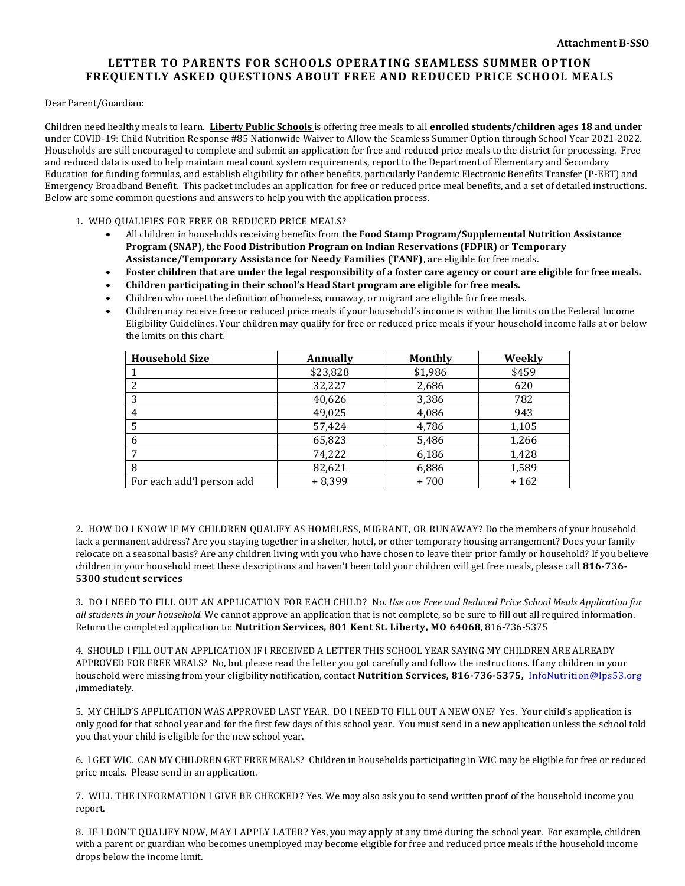## **LETTER TO PARENTS FOR SCHOOLS OPERATING SEAMLESS SUMMER OPTION FREQUENTLY ASKED QUESTIONS ABOUT FREE AND REDUCED PRICE SCHOOL MEALS**

Dear Parent/Guardian:

Children need healthy meals to learn. **Liberty Public Schools** is offering free meals to all **enrolled students/children ages 18 and under** under COVID-19: Child Nutrition Response #85 Nationwide Waiver to Allow the Seamless Summer Option through School Year 2021-2022. Households are still encouraged to complete and submit an application for free and reduced price meals to the district for processing. Free and reduced data is used to help maintain meal count system requirements, report to the Department of Elementary and Secondary Education for funding formulas, and establish eligibility for other benefits, particularly Pandemic Electronic Benefits Transfer (P-EBT) and Emergency Broadband Benefit. This packet includes an application for free or reduced price meal benefits, and a set of detailed instructions. Below are some common questions and answers to help you with the application process.

1. WHO QUALIFIES FOR FREE OR REDUCED PRICE MEALS?

- All children in households receiving benefits from **the Food Stamp Program/Supplemental Nutrition Assistance Program (SNAP), the Food Distribution Program on Indian Reservations (FDPIR)** or **Temporary Assistance/Temporary Assistance for Needy Families (TANF)**, are eligible for free meals.
- **Foster children that are under the legal responsibility of a foster care agency or court are eligible for free meals.**
- **Children participating in their school's Head Start program are eligible for free meals.**
- Children who meet the definition of homeless, runaway, or migrant are eligible for free meals.
- Children may receive free or reduced price meals if your household's income is within the limits on the Federal Income Eligibility Guidelines. Your children may qualify for free or reduced price meals if your household income falls at or below the limits on this chart.

| <b>Household Size</b>     | <b>Annually</b> | <b>Monthly</b> | Weekly |
|---------------------------|-----------------|----------------|--------|
|                           | \$23,828        | \$1,986        | \$459  |
|                           | 32,227          | 2,686          | 620    |
| 3                         | 40,626          | 3,386          | 782    |
|                           | 49,025          | 4,086          | 943    |
|                           | 57,424          | 4,786          | 1,105  |
|                           | 65,823          | 5,486          | 1,266  |
|                           | 74,222          | 6,186          | 1,428  |
| 8                         | 82,621          | 6,886          | 1,589  |
| For each add'l person add | $+8,399$        | +700           | $+162$ |

2. HOW DO I KNOW IF MY CHILDREN QUALIFY AS HOMELESS, MIGRANT, OR RUNAWAY? Do the members of your household lack a permanent address? Are you staying together in a shelter, hotel, or other temporary housing arrangement? Does your family relocate on a seasonal basis? Are any children living with you who have chosen to leave their prior family or household? If you believe children in your household meet these descriptions and haven't been told your children will get free meals, please call **816-736- 5300 student services**

3. DO I NEED TO FILL OUT AN APPLICATION FOR EACH CHILD? No. *Use one Free and Reduced Price School Meals Application for all students in your household.* We cannot approve an application that is not complete, so be sure to fill out all required information. Return the completed application to: **Nutrition Services, 801 Kent St. Liberty, MO 64068**, 816-736-5375

4. SHOULD I FILL OUT AN APPLICATION IF I RECEIVED A LETTER THIS SCHOOL YEAR SAYING MY CHILDREN ARE ALREADY APPROVED FOR FREE MEALS? No, but please read the letter you got carefully and follow the instructions. If any children in your household were missing from your eligibility notification, contact **Nutrition Services, 816-736-5375,** [InfoNutrition@lps53.org](mailto:InfoNutrition@lps53.org) **,**immediately.

5. MY CHILD'S APPLICATION WAS APPROVED LAST YEAR. DO I NEED TO FILL OUT A NEW ONE? Yes. Your child's application is only good for that school year and for the first few days of this school year. You must send in a new application unless the school told you that your child is eligible for the new school year.

6. I GET WIC. CAN MY CHILDREN GET FREE MEALS? Children in households participating in WIC may be eligible for free or reduced price meals. Please send in an application.

7. WILL THE INFORMATION I GIVE BE CHECKED? Yes. We may also ask you to send written proof of the household income you report.

8. IF I DON'T QUALIFY NOW, MAY I APPLY LATER? Yes, you may apply at any time during the school year. For example, children with a parent or guardian who becomes unemployed may become eligible for free and reduced price meals if the household income drops below the income limit.